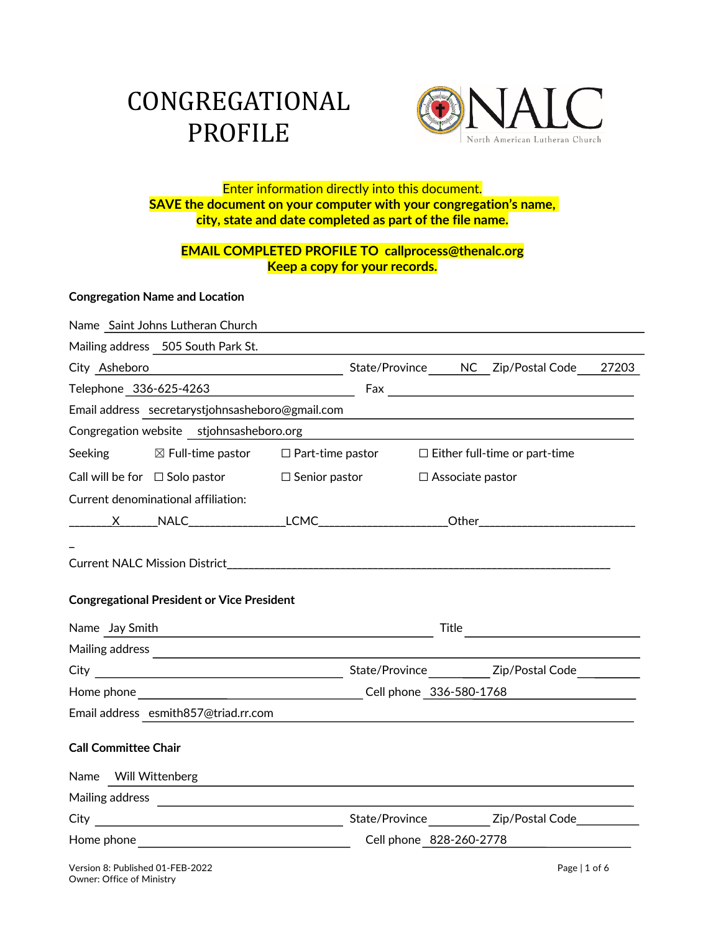# CONGREGATIONAL PROFILE



# Enter information directly into this document. **SAVE the document on your computer with your congregation's name, city, state and date completed as part of the file name.**

# **EMAIL COMPLETED PROFILE TO callprocess@thenalc.org Keep a copy for your records.**

#### **Congregation Name and Location**

| Name Saint Johns Lutheran Church                                                 |                                                                                                         |                                                                    |  |  |
|----------------------------------------------------------------------------------|---------------------------------------------------------------------------------------------------------|--------------------------------------------------------------------|--|--|
| Mailing address 505 South Park St.                                               |                                                                                                         |                                                                    |  |  |
| City Asheboro                                                                    |                                                                                                         |                                                                    |  |  |
|                                                                                  |                                                                                                         |                                                                    |  |  |
| Email address secretarystjohnsasheboro@gmail.com                                 |                                                                                                         |                                                                    |  |  |
| Congregation website stjohnsasheboro.org                                         |                                                                                                         | <u> 1980 - John Stein, Amerikaansk politiker (</u>                 |  |  |
| <b>Seeking</b>                                                                   | $\boxtimes$ Full-time pastor $\hfill \Box$ Part-time pastor $\hfill \Box$ Either full-time or part-time |                                                                    |  |  |
| Call will be for $\Box$ Solo pastor $\Box$ Senior pastor $\Box$ Associate pastor |                                                                                                         |                                                                    |  |  |
| Current denominational affiliation:                                              |                                                                                                         |                                                                    |  |  |
|                                                                                  |                                                                                                         |                                                                    |  |  |
| <b>Congregational President or Vice President</b><br>Name Jay Smith              | <u> 1989 - Johann Barbara, martxa al III-lea (h. 1974).</u>                                             | Title<br><u> 1980 - Andrea Station Books, amerikansk politik (</u> |  |  |
|                                                                                  |                                                                                                         |                                                                    |  |  |
|                                                                                  |                                                                                                         |                                                                    |  |  |
| Email address esmith857@triad.rr.com                                             |                                                                                                         |                                                                    |  |  |
| <b>Call Committee Chair</b><br>Will Wittenberg<br>Name                           |                                                                                                         |                                                                    |  |  |
|                                                                                  |                                                                                                         |                                                                    |  |  |
|                                                                                  |                                                                                                         |                                                                    |  |  |
|                                                                                  |                                                                                                         | Cell phone 828-260-2778                                            |  |  |
| Version 8: Published 01-FEB-2022                                                 |                                                                                                         | Page   1 of 6                                                      |  |  |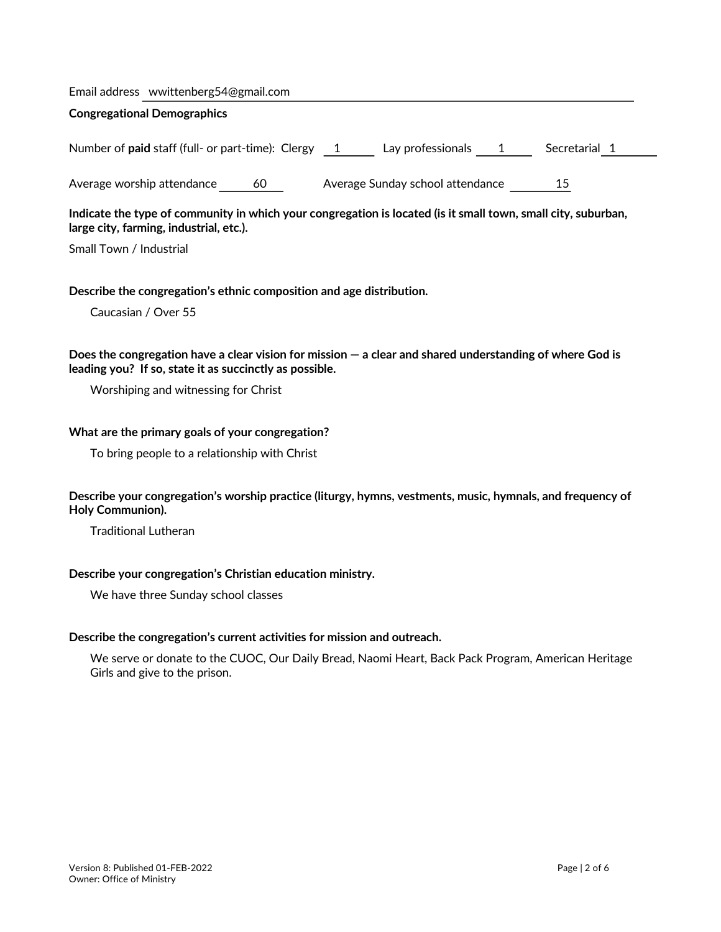| Email address wwittenberg54@gmail.com                                                                          |    |                                  |               |
|----------------------------------------------------------------------------------------------------------------|----|----------------------------------|---------------|
| <b>Congregational Demographics</b>                                                                             |    |                                  |               |
| Number of <b>paid</b> staff (full- or part-time): Clergy 1                                                     |    | Lay professionals 1              | Secretarial 1 |
| Average worship attendance                                                                                     | 60 | Average Sunday school attendance | 15            |
| to discuss also a most a communitation del desenvolvement de la capacitation de la constitución de la contende |    |                                  |               |

**Indicate the type of community in which your congregation is located (is it small town, small city, suburban, large city, farming, industrial, etc.).**

Small Town / Industrial

#### **Describe the congregation's ethnic composition and age distribution.**

Caucasian / Over 55

**Does the congregation have a clear vision for mission — a clear and shared understanding of where God is leading you? If so, state it as succinctly as possible.** 

Worshiping and witnessing for Christ

#### **What are the primary goals of your congregation?**

To bring people to a relationship with Christ

#### **Describe your congregation's worship practice (liturgy, hymns, vestments, music, hymnals, and frequency of Holy Communion).**

Traditional Lutheran

#### **Describe your congregation's Christian education ministry.**

We have three Sunday school classes

#### **Describe the congregation's current activities for mission and outreach.**

We serve or donate to the CUOC, Our Daily Bread, Naomi Heart, Back Pack Program, American Heritage Girls and give to the prison.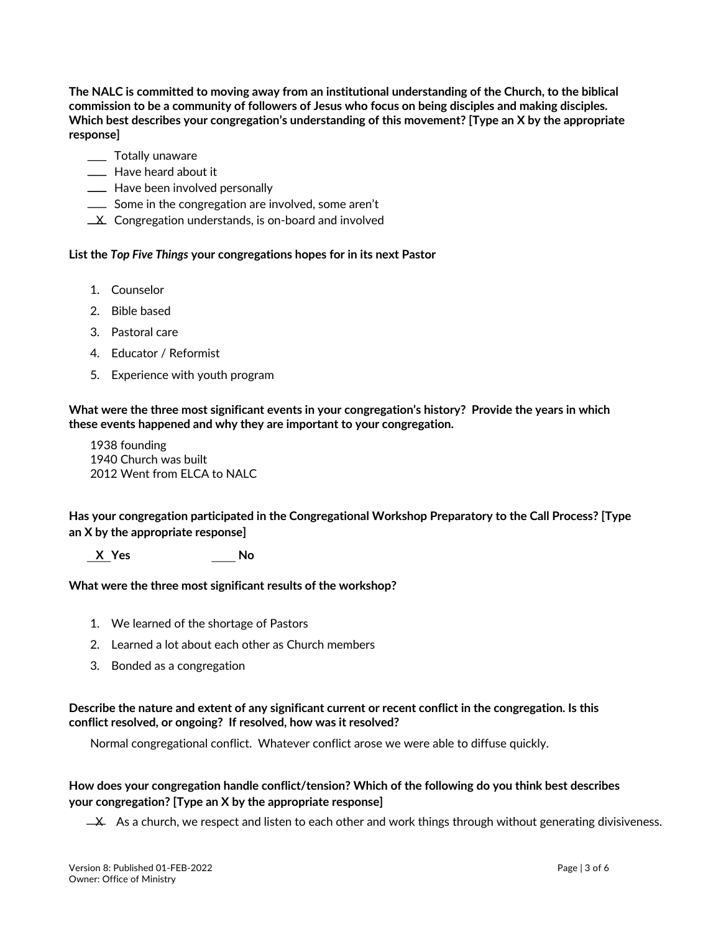**The NALC is committed to moving away from an institutional understanding of the Church, to the biblical commission to be a community of followers of Jesus who focus on being disciples and making disciples. Which best describes your congregation's understanding of this movement? [Type an X by the appropriate response]**

- \_\_\_ Totally unaware
- **Example 2** Have heard about it
- **EXECUTE:** Have been involved personally
- Some in the congregation are involved, some aren't
- **X** Congregation understands, is on-board and involved

#### **List the** *Top Five Things* **your congregations hopes for in its next Pastor**

- 1. Counselor
- 2. Bible based
- 3. Pastoral care
- 4. Educator / Reformist
- 5. Experience with youth program

**What were the three most significant events in your congregation's history? Provide the years in which these events happened and why they are important to your congregation.**

1938 founding 1940 Church was built 2012 Went from FLCA to NALC.

**Has your congregation participated in the Congregational Workshop Preparatory to the Call Process? [Type an X by the appropriate response]**

 **X Yes No**

#### **What were the three most significant results of the workshop?**

- 1. We learned of the shortage of Pastors
- 2. Learned a lot about each other as Church members
- 3. Bonded as a congregation

#### **Describe the nature and extent of any significant current or recent conflict in the congregation. Is this conflict resolved, or ongoing? If resolved, how was it resolved?**

Normal congregational conflict. Whatever conflict arose we were able to diffuse quickly.

# **How does your congregation handle conflict/tension? Which of the following do you think best describes your congregation? [Type an X by the appropriate response]**

 $\perp$  As a church, we respect and listen to each other and work things through without generating divisiveness.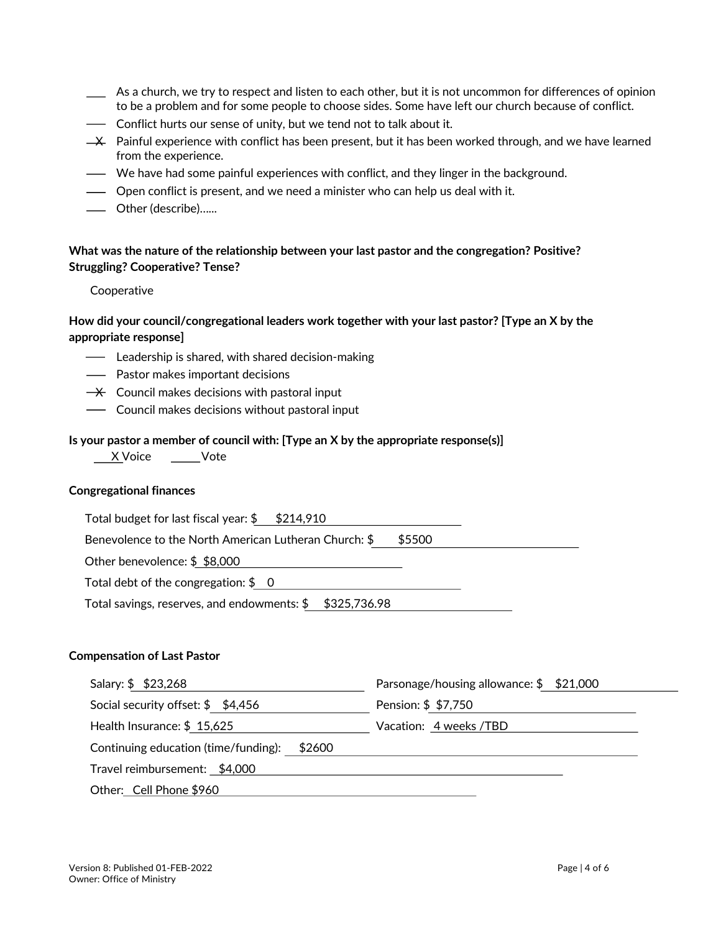- As a church, we try to respect and listen to each other, but it is not uncommon for differences of opinion to be a problem and for some people to choose sides. Some have left our church because of conflict.
- Conflict hurts our sense of unity, but we tend not to talk about it.
- $\overrightarrow{+}$  Painful experience with conflict has been present, but it has been worked through, and we have learned from the experience.
- We have had some painful experiences with conflict, and they linger in the background.
- Open conflict is present, and we need a minister who can help us deal with it.
- Other (describe)…...

# **What was the nature of the relationship between your last pastor and the congregation? Positive? Struggling? Cooperative? Tense?**

Cooperative

# **How did your council/congregational leaders work together with your last pastor? [Type an X by the appropriate response]**

- Leadership is shared, with shared decision-making
- Pastor makes important decisions
- $\rightarrow$  Council makes decisions with pastoral input
- Council makes decisions without pastoral input

#### **Is your pastor a member of council with: [Type an X by the appropriate response(s)]**

X Voice \_\_\_\_\_Vote

#### **Congregational finances**

Total budget for last fiscal year:  $$$  \$214,910

Benevolence to the North American Lutheran Church:  $$$  \$5500

Other benevolence: \$ \$8,000

Total debt of the congregation: \$ 0

Total savings, reserves, and endowments:  $$$  \$325,736.98

#### **Compensation of Last Pastor**

| Salary: \$\$23,268                             | Parsonage/housing allowance: \$\$21,000 |
|------------------------------------------------|-----------------------------------------|
| Social security offset: \$\$4,456              | Pension: \$ \$7,750                     |
| Health Insurance: \$15,625                     | Vacation: 4 weeks /TBD                  |
| Continuing education (time/funding):<br>\$2600 |                                         |
| Travel reimbursement: \$4,000                  |                                         |
| Other: Cell Phone \$960                        |                                         |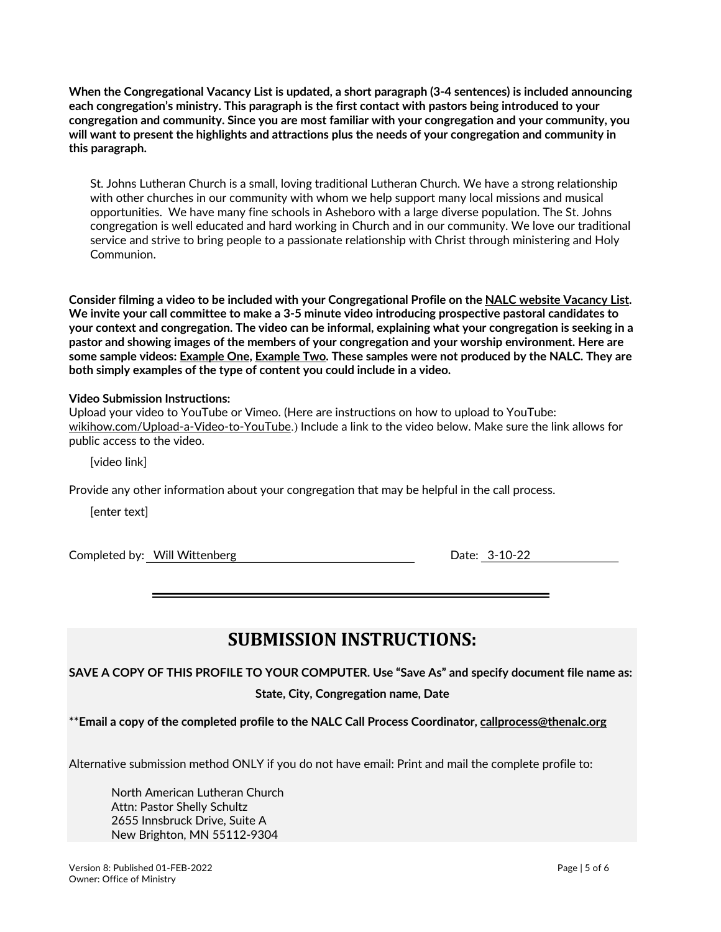**When the Congregational Vacancy List is updated, a short paragraph (3-4 sentences) is included announcing each congregation's ministry. This paragraph is the first contact with pastors being introduced to your congregation and community. Since you are most familiar with your congregation and your community, you will want to present the highlights and attractions plus the needs of your congregation and community in this paragraph.** 

St. Johns Lutheran Church is a small, loving traditional Lutheran Church. We have a strong relationship with other churches in our community with whom we help support many local missions and musical opportunities. We have many fine schools in Asheboro with a large diverse population. The St. Johns congregation is well educated and hard working in Church and in our community. We love our traditional service and strive to bring people to a passionate relationship with Christ through ministering and Holy Communion.

**Consider filming a video to be included with your Congregational Profile on the NALC website Vacancy List. We invite your call committee to make a 3-5 minute video introducing prospective pastoral candidates to your context and congregation. The video can be informal, explaining what your congregation is seeking in a pastor and showing images of the members of your congregation and your worship environment. Here are some sample videos: Example One, Example Two. These samples were not produced by the NALC. They are both simply examples of the type of content you could include in a video.**

#### **Video Submission Instructions:**

| Upload your video to YouTube or Vimeo. (Here are instructions on how to upload to YouTube:               |
|----------------------------------------------------------------------------------------------------------|
| wikihow.com/Upload-a-Video-to-YouTube.) Include a link to the video below. Make sure the link allows for |
| public access to the video.                                                                              |

[video link]

Provide any other information about your congregation that may be helpful in the call process.

[enter text]

|  | Completed by: Will Wittenberg |
|--|-------------------------------|
|--|-------------------------------|

Date: 3-10-22

# **SUBMISSION INSTRUCTIONS:**

**SAVE A COPY OF THIS PROFILE TO YOUR COMPUTER. Use "Save As" and specify document file name as:**

**State, City, Congregation name, Date**

**\*\*Email a copy of the completed profile to the NALC Call Process Coordinator, callprocess@thenalc.org**

Alternative submission method ONLY if you do not have email: Print and mail the complete profile to:

North American Lutheran Church Attn: Pastor Shelly Schultz 2655 Innsbruck Drive, Suite A New Brighton, MN 55112-9304